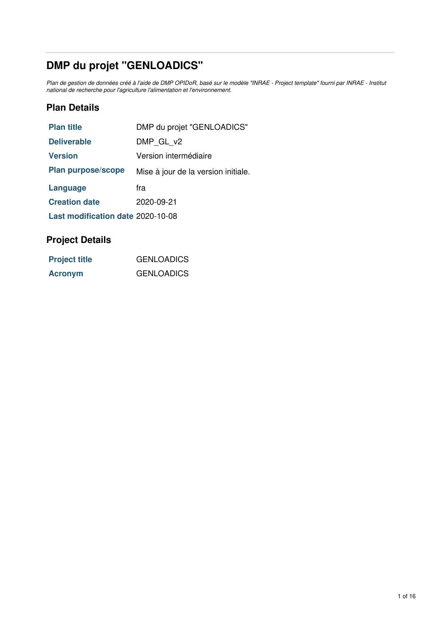# **DMP du projet "GENLOADICS"**

Plan de gestion de données créé à l'aide de DMP OPIDoR, basé sur le modèle "INRAE - Project template" fourni par INRAE - Institut *national de recherche pour l'agriculture l'alimentation et l'environnement.*

# **Plan Details**

| <b>Plan title</b>                 | DMP du projet "GENLOADICS"          |
|-----------------------------------|-------------------------------------|
| <b>Deliverable</b>                | DMP GL v2                           |
| <b>Version</b>                    | Version intermédiaire               |
| <b>Plan purpose/scope</b>         | Mise à jour de la version initiale. |
| Language                          | fra                                 |
| <b>Creation date</b>              | 2020-09-21                          |
| Last modification date 2020-10-08 |                                     |

# **Project Details**

| <b>Project title</b> | <b>GENLOADICS</b> |
|----------------------|-------------------|
| <b>Acronym</b>       | <b>GENLOADICS</b> |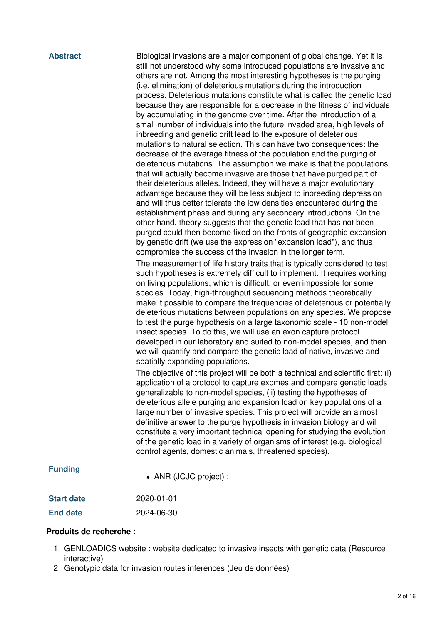**Abstract** Biological invasions are a major component of global change. Yet it is still not understood why some introduced populations are invasive and others are not. Among the most interesting hypotheses is the purging (i.e. elimination) of deleterious mutations during the introduction process. Deleterious mutations constitute what is called the genetic load because they are responsible for a decrease in the fitness of individuals by accumulating in the genome over time. After the introduction of a small number of individuals into the future invaded area, high levels of inbreeding and genetic drift lead to the exposure of deleterious mutations to natural selection. This can have two consequences: the decrease of the average fitness of the population and the purging of deleterious mutations. The assumption we make is that the populations that will actually become invasive are those that have purged part of their deleterious alleles. Indeed, they will have a major evolutionary advantage because they will be less subject to inbreeding depression and will thus better tolerate the low densities encountered during the establishment phase and during any secondary introductions. On the other hand, theory suggests that the genetic load that has not been purged could then become fixed on the fronts of geographic expansion by genetic drift (we use the expression "expansion load"), and thus compromise the success of the invasion in the longer term.

> The measurement of life history traits that is typically considered to test such hypotheses is extremely difficult to implement. It requires working on living populations, which is difficult, or even impossible for some species. Today, high-throughput sequencing methods theoretically make it possible to compare the frequencies of deleterious or potentially deleterious mutations between populations on any species. We propose to test the purge hypothesis on a large taxonomic scale - 10 non-model insect species. To do this, we will use an exon capture protocol developed in our laboratory and suited to non-model species, and then we will quantify and compare the genetic load of native, invasive and spatially expanding populations.

> The objective of this project will be both a technical and scientific first: (i) application of a protocol to capture exomes and compare genetic loads generalizable to non-model species, (ii) testing the hypotheses of deleterious allele purging and expansion load on key populations of a large number of invasive species. This project will provide an almost definitive answer to the purge hypothesis in invasion biology and will constitute a very important technical opening for studying the evolution of the genetic load in a variety of organisms of interest (e.g. biological control agents, domestic animals, threatened species).

#### **Funding**

ANR (JCJC project) :

| <b>Start date</b> | 2020-01-01 |
|-------------------|------------|
| <b>End date</b>   | 2024-06-30 |

#### **Produits de recherche :**

- 1. GENLOADICS website : website dedicated to invasive insects with genetic data (Resource interactive)
- 2. Genotypic data for invasion routes inferences (Jeu de données)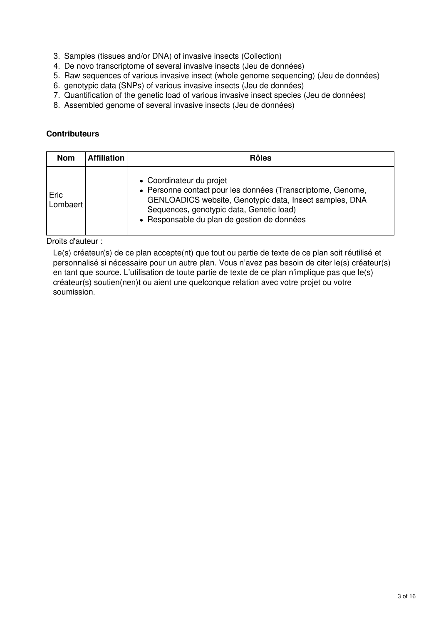- 3. Samples (tissues and/or DNA) of invasive insects (Collection)
- 4. De novo transcriptome of several invasive insects (Jeu de données)
- 5. Raw sequences of various invasive insect (whole genome sequencing) (Jeu de données)
- 6. genotypic data (SNPs) of various invasive insects (Jeu de données)
- 7. Quantification of the genetic load of various invasive insect species (Jeu de données)
- 8. Assembled genome of several invasive insects (Jeu de données)

#### **Contributeurs**

| <b>Nom</b>       | <b>Affiliation</b> | <b>Rôles</b>                                                                                                                                                                                                                                  |
|------------------|--------------------|-----------------------------------------------------------------------------------------------------------------------------------------------------------------------------------------------------------------------------------------------|
| Eric<br>Lombaert |                    | • Coordinateur du projet<br>• Personne contact pour les données (Transcriptome, Genome,<br>GENLOADICS website, Genotypic data, Insect samples, DNA<br>Sequences, genotypic data, Genetic load)<br>• Responsable du plan de gestion de données |

Droits d'auteur :

Le(s) créateur(s) de ce plan accepte(nt) que tout ou partie de texte de ce plan soit réutilisé et personnalisé si nécessaire pour un autre plan. Vous n'avez pas besoin de citer le(s) créateur(s) en tant que source. L'utilisation de toute partie de texte de ce plan n'implique pas que le(s) créateur(s) soutien(nen)t ou aient une quelconque relation avec votre projet ou votre soumission.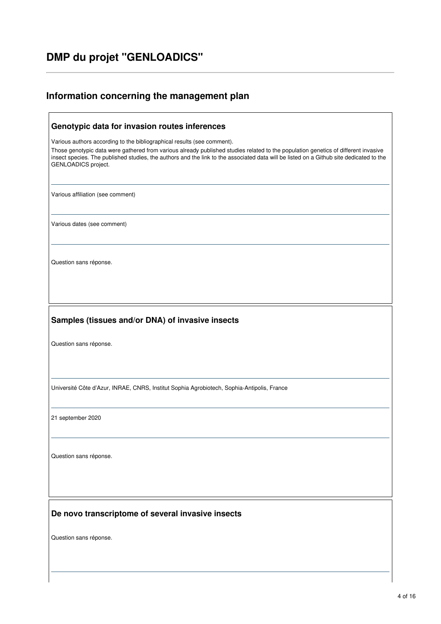# **DMP du projet "GENLOADICS"**

# **Information concerning the management plan**

| Genotypic data for invasion routes inferences                                                                                                                                                                                                                                                                                                                                   |
|---------------------------------------------------------------------------------------------------------------------------------------------------------------------------------------------------------------------------------------------------------------------------------------------------------------------------------------------------------------------------------|
| Various authors according to the bibliographical results (see comment).<br>Those genotypic data were gathered from various already published studies related to the population genetics of different invasive<br>insect species. The published studies, the authors and the link to the associated data will be listed on a Github site dedicated to the<br>GENLOADICS project. |
| Various affiliation (see comment)                                                                                                                                                                                                                                                                                                                                               |
| Various dates (see comment)                                                                                                                                                                                                                                                                                                                                                     |
| Question sans réponse.                                                                                                                                                                                                                                                                                                                                                          |
| Samples (tissues and/or DNA) of invasive insects                                                                                                                                                                                                                                                                                                                                |
| Question sans réponse.                                                                                                                                                                                                                                                                                                                                                          |
|                                                                                                                                                                                                                                                                                                                                                                                 |
| Université Côte d'Azur, INRAE, CNRS, Institut Sophia Agrobiotech, Sophia-Antipolis, France                                                                                                                                                                                                                                                                                      |
| 21 september 2020                                                                                                                                                                                                                                                                                                                                                               |
| Question sans réponse.                                                                                                                                                                                                                                                                                                                                                          |
|                                                                                                                                                                                                                                                                                                                                                                                 |
| De novo transcriptome of several invasive insects                                                                                                                                                                                                                                                                                                                               |
| Question sans réponse.                                                                                                                                                                                                                                                                                                                                                          |
|                                                                                                                                                                                                                                                                                                                                                                                 |

٦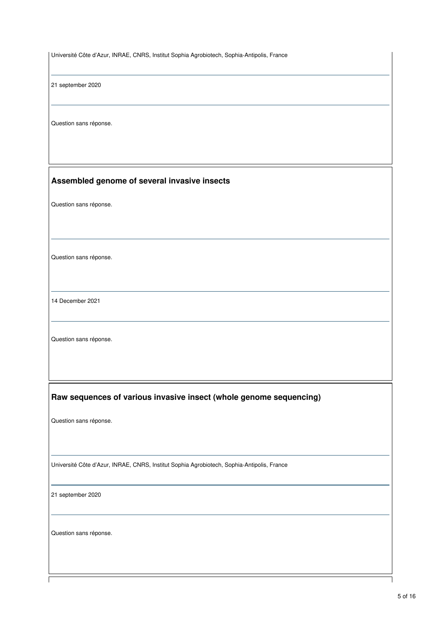Université Côte d'Azur, INRAE, CNRS, Institut Sophia Agrobiotech, Sophia-Antipolis, France

21 september 2020

Question sans réponse.

#### **Assembled genome of several invasive insects**

Question sans réponse.

Question sans réponse.

14 December 2021

Question sans réponse.

#### **Raw sequences of various invasive insect (whole genome sequencing)**

Question sans réponse.

Université Côte d'Azur, INRAE, CNRS, Institut Sophia Agrobiotech, Sophia-Antipolis, France

21 september 2020

Question sans réponse.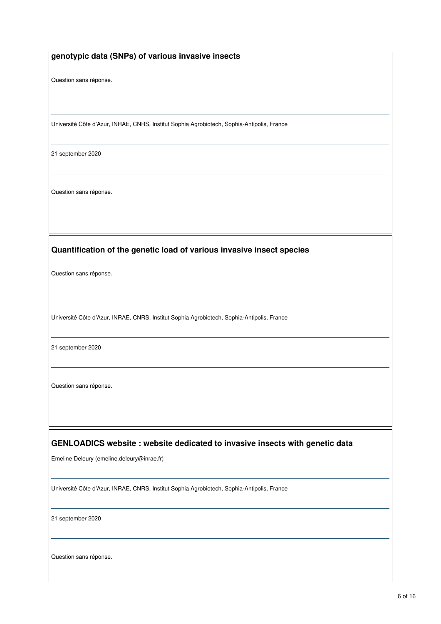#### **genotypic data (SNPs) of various invasive insects**

Question sans réponse.

Université Côte d'Azur, INRAE, CNRS, Institut Sophia Agrobiotech, Sophia-Antipolis, France

21 september 2020

Question sans réponse.

#### **Quantification of the genetic load of various invasive insect species**

Question sans réponse.

Université Côte d'Azur, INRAE, CNRS, Institut Sophia Agrobiotech, Sophia-Antipolis, France

21 september 2020

Question sans réponse.

#### **GENLOADICS website : website dedicated to invasive insects with genetic data**

Emeline Deleury (emeline.deleury@inrae.fr)

Université Côte d'Azur, INRAE, CNRS, Institut Sophia Agrobiotech, Sophia-Antipolis, France

21 september 2020

Question sans réponse.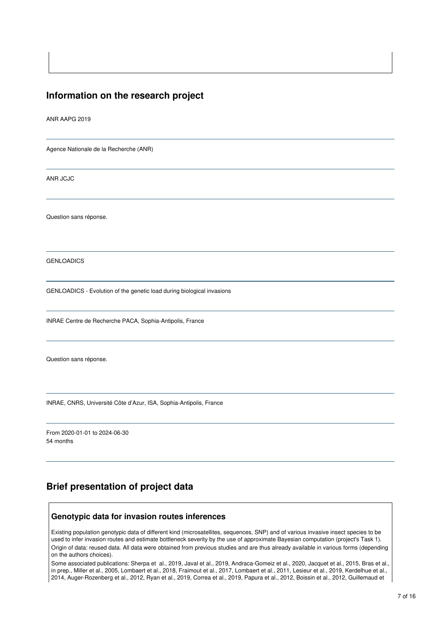### **Information on the research project**

ANR AAPG 2019

Agence Nationale de la Recherche (ANR)

ANR JCJC

Question sans réponse.

GENLOADICS

GENLOADICS - Evolution of the genetic load during biological invasions

INRAE Centre de Recherche PACA, Sophia-Antipolis, France

Question sans réponse.

INRAE, CNRS, Université Côte d'Azur, ISA, Sophia-Antipolis, France

From 2020-01-01 to 2024-06-30 54 months

### **Brief presentation of project data**

#### **Genotypic data for invasion routes inferences**

Existing population genotypic data of different kind (microsatellites, sequences, SNP) and of various invasive insect species to be used to infer invasion routes and estimate bottleneck severity by the use of approximate Bayesian computation (project's Task 1). Origin of data: reused data. All data were obtained from previous studies and are thus already available in various forms (depending on the authors choices).

Some associated publications: Sherpa et al., 2019, Javal et al., 2019, Andraca-Gomeiz et al., 2020, Jacquet et al., 2015, Bras et al., in prep., Miller et al., 2005, Lombaert et al., 2018, Fraimout et al., 2017, Lombaert et al., 2011, Lesieur et al., 2019, Kerdelhue et al., 2014, Auger-Rozenberg et al., 2012, Ryan et al., 2019, Correa et al., 2019, Papura et al., 2012, Boissin et al., 2012, Guillemaud et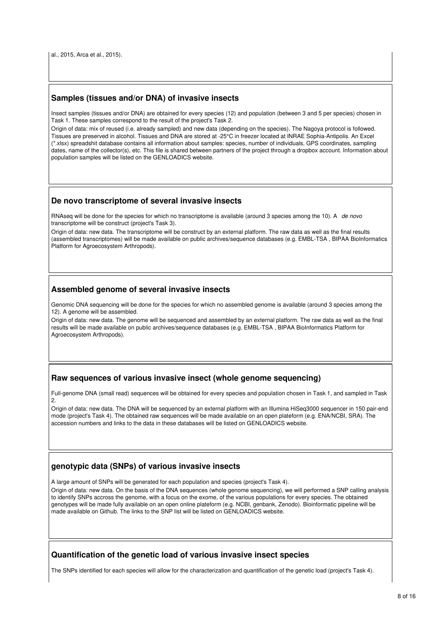al., 2015, Arca et al., 2015).

#### **Samples (tissues and/or DNA) of invasive insects**

Insect samples (tissues and/or DNA) are obtained for every species (12) and population (between 3 and 5 per species) chosen in Task 1. These samples correspond to the result of the project's Task 2.

Origin of data: mix of reused (i.e. already sampled) and new data (depending on the species). The Nagoya protocol is followed. Tissues are preserved in alcohol. Tissues and DNA are stored at -25°C in freezer located at INRAE Sophia-Antipolis. An Excel (\*.xlsx) spreadshit database contains all information about samples: species, number of individuals, GPS coordinates, sampling dates, name of the collector(s), etc. This file is shared between partners of the project through a dropbox account. Information about population samples will be listed on the GENLOADICS website.

#### **De novo transcriptome of several invasive insects**

RNAseq will be done for the species for which no transcriptome is available (around 3 species among the 10). A *de novo* transcriptome will be construct (project's Task 3).

Origin of data: new data. The transcriptome will be construct by an external platform. The raw data as well as the final results (assembled transcriptomes) will be made available on public archives/sequence databases (e.g. EMBL-TSA , BIPAA BioInformatics Platform for Agroecosystem Arthropods).

#### **Assembled genome of several invasive insects**

Genomic DNA sequencing will be done for the species for which no assembled genome is available (around 3 species among the 12). A genome will be assembled.

Origin of data: new data. The genome will be sequenced and assembled by an external platform. The raw data as well as the final results will be made available on public archives/sequence databases (e.g. EMBL-TSA , BIPAA BioInformatics Platform for Agroecosystem Arthropods).

#### **Raw sequences of various invasive insect (whole genome sequencing)**

Full-genome DNA (small read) sequences will be obtained for every species and population chosen in Task 1, and sampled in Task 2.

Origin of data: new data. The DNA will be sequenced by an external platform with an Illumina HiSeq3000 sequencer in 150 pair-end mode (project's Task 4). The obtained raw sequences will be made available on an open plateform (e.g. ENA/NCBI, SRA). The accession numbers and links to the data in these databases will be listed on GENLOADICS website.

#### **genotypic data (SNPs) of various invasive insects**

A large amount of SNPs will be generated for each population and species (project's Task 4).

Origin of data: new data. On the basis of the DNA sequences (whole genome sequencing), we will performed a SNP calling analysis to identify SNPs accross the genome, with a focus on the exome, of the various populations for every species. The obtained genotypes will be made fully available on an open online plateform (e.g. NCBI, genbank, Zenodo). Bioinformatic pipeline will be made available on Github. The links to the SNP list will be listed on GENLOADICS website.

#### **Quantification of the genetic load of various invasive insect species**

The SNPs identified for each species will allow for the characterization and quantification of the genetic load (project's Task 4).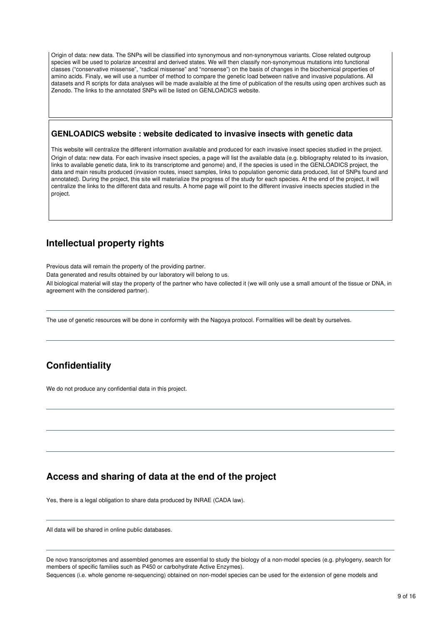Origin of data: new data. The SNPs will be classified into synonymous and non-synonymous variants. Close related outgroup species will be used to polarize ancestral and derived states. We will then classify non-synonymous mutations into functional classes ("conservative missense", "radical missense" and "nonsense") on the basis of changes in the biochemical properties of amino acids. Finaly, we will use a number of method to compare the genetic load between native and invasive populations. All datasets and R scripts for data analyses will be made avalaible at the time of publication of the results using open archives such as Zenodo. The links to the annotated SNPs will be listed on GENLOADICS website.

#### **GENLOADICS website : website dedicated to invasive insects with genetic data**

This website will centralize the different information available and produced for each invasive insect species studied in the project. Origin of data: new data. For each invasive insect species, a page will list the available data (e.g. bibliography related to its invasion, links to available genetic data, link to its transcriptome and genome) and, if the species is used in the GENLOADICS project, the data and main results produced (invasion routes, insect samples, links to population genomic data produced, list of SNPs found and annotated). During the project, this site will materialize the progress of the study for each species. At the end of the project, it will centralize the links to the different data and results. A home page will point to the different invasive insects species studied in the project.

# **Intellectual property rights**

Previous data will remain the property of the providing partner.

Data generated and results obtained by our laboratory will belong to us.

All biological material will stay the property of the partner who have collected it (we will only use a small amount of the tissue or DNA, in agreement with the considered partner).

The use of genetic resources will be done in conformity with the Nagoya protocol. Formalities will be dealt by ourselves.

# **Confidentiality**

We do not produce any confidential data in this project.

# **Access and sharing of data at the end of the project**

Yes, there is a legal obligation to share data produced by INRAE (CADA law).

All data will be shared in online public databases.

De novo transcriptomes and assembled genomes are essential to study the biology of a non-model species (e.g. phylogeny, search for members of specific families such as P450 or carbohydrate Active Enzymes).

Sequences (i.e. whole genome re-sequencing) obtained on non-model species can be used for the extension of gene models and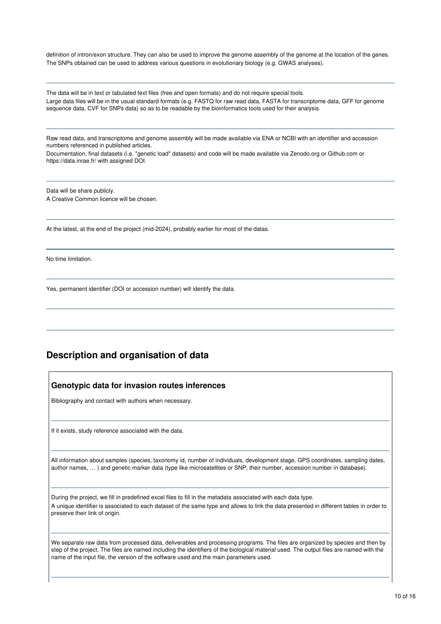definition of intron/exon structure. They can also be used to improve the genome assembly of the genome at the location of the genes. The SNPs obtained can be used to address various questions in evolutionary biology (e.g. GWAS analyses).

The data will be in text or tabulated text files (free and open formats) and do not require special tools. Large data files will be in the usual standard formats (e.g. FASTQ for raw read data, FASTA for transcriptome data, GFF for genome sequence data, CVF for SNPs data) so as to be readable by the bioinformatics tools used for their analysis.

Raw read data, and transcriptome and genome assembly will be made available via ENA or NCBI with an identifier and accession numbers referenced in published articles.

Documentation, final datasets (i.e. "genetic load" datasets) and code will be made available via Zenodo.org or Github.com or https://data.inrae.fr/ with assigned DOI.

Data will be share publicly. A Creative Common licence will be chosen.

At the latest, at the end of the project (mid-2024), probably earlier for most of the datas.

No time limitation.

Yes, permanent identifier (DOI or accession number) will identify the data.

# **Description and organisation of data**

#### **Genotypic data for invasion routes inferences**

Bibliography and contact with authors when necessary.

If it exists, study reference associated with the data.

All information about samples (species, taxonomy id, number of individuals, development stage, GPS coordinates, sampling dates, author names, … ) and genetic marker data (type like microsatellites or SNP, their number, accession number in database).

During the project, we fill in predefined excel files to fill in the metadata associated with each data type. A unique identifier is associated to each dataset of the same type and allows to link the data presented in different tables in order to preserve their link of origin.

We separate raw data from processed data, deliverables and processing programs. The files are organized by species and then by step of the project. The files are named including the identifiers of the biological material used. The output files are named with the name of the input file, the version of the software used and the main parameters used.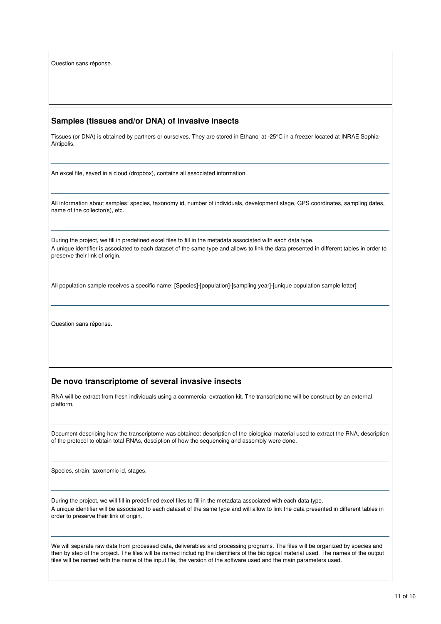Question sans réponse.

#### **Samples (tissues and/or DNA) of invasive insects**

Tissues (or DNA) is obtained by partners or ourselves. They are stored in Ethanol at -25°C in a freezer located at INRAE Sophia-Antipolis.

An excel file, saved in a cloud (dropbox), contains all associated information.

All information about samples: species, taxonomy id, number of individuals, development stage, GPS coordinates, sampling dates, name of the collector(s), etc.

During the project, we fill in predefined excel files to fill in the metadata associated with each data type. A unique identifier is associated to each dataset of the same type and allows to link the data presented in different tables in order to preserve their link of origin.

All population sample receives a specific name: [Species]-[population]-[sampling year]-[unique population sample letter]

Question sans réponse.

#### **De novo transcriptome of several invasive insects**

RNA will be extract from fresh individuals using a commercial extraction kit. The transcriptome will be construct by an external platform.

Document describing how the transcriptome was obtained: description of the biological material used to extract the RNA, description of the protocol to obtain total RNAs, desciption of how the sequencing and assembly were done.

Species, strain, taxonomic id, stages.

During the project, we will fill in predefined excel files to fill in the metadata associated with each data type. A unique identifier will be associated to each dataset of the same type and will allow to link the data presented in different tables in order to preserve their link of origin.

We will separate raw data from processed data, deliverables and processing programs. The files will be organized by species and then by step of the project. The files will be named including the identifiers of the biological material used. The names of the output files will be named with the name of the input file, the version of the software used and the main parameters used.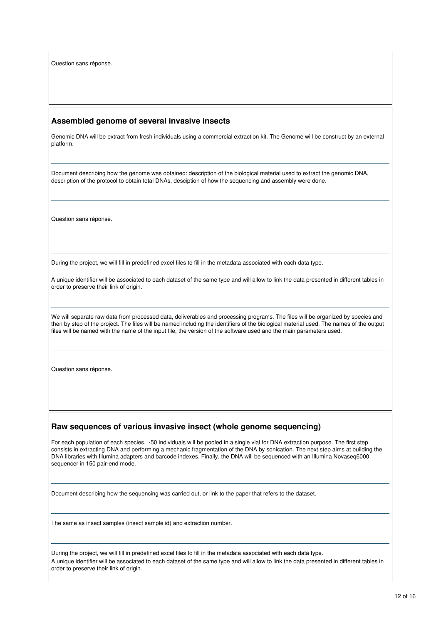Question sans réponse.

#### **Assembled genome of several invasive insects**

Genomic DNA will be extract from fresh individuals using a commercial extraction kit. The Genome will be construct by an external platform.

Document describing how the genome was obtained: description of the biological material used to extract the genomic DNA, description of the protocol to obtain total DNAs, desciption of how the sequencing and assembly were done.

Question sans réponse.

During the project, we will fill in predefined excel files to fill in the metadata associated with each data type.

A unique identifier will be associated to each dataset of the same type and will allow to link the data presented in different tables in order to preserve their link of origin.

We will separate raw data from processed data, deliverables and processing programs. The files will be organized by species and then by step of the project. The files will be named including the identifiers of the biological material used. The names of the output files will be named with the name of the input file, the version of the software used and the main parameters used.

Question sans réponse.

#### **Raw sequences of various invasive insect (whole genome sequencing)**

For each population of each species, ~50 individuals will be pooled in a single vial for DNA extraction purpose. The first step consists in extracting DNA and performing a mechanic fragmentation of the DNA by sonication. The next step aims at building the DNA libraries with Illumina adapters and barcode indexes. Finally, the DNA will be sequenced with an Illumina Novaseq6000 sequencer in 150 pair-end mode.

Document describing how the sequencing was carried out, or link to the paper that refers to the dataset.

The same as insect samples (insect sample id) and extraction number.

During the project, we will fill in predefined excel files to fill in the metadata associated with each data type. A unique identifier will be associated to each dataset of the same type and will allow to link the data presented in different tables in order to preserve their link of origin.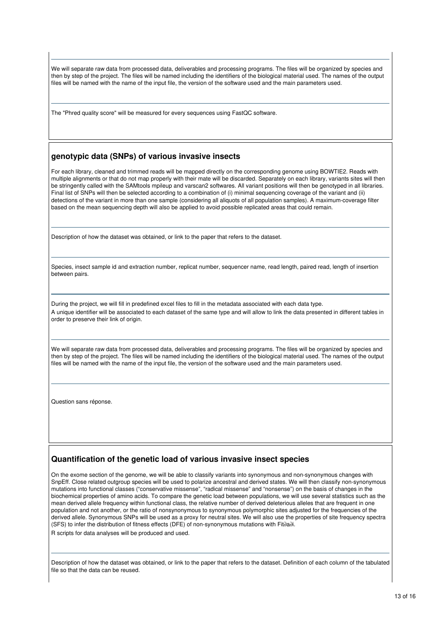We will separate raw data from processed data, deliverables and processing programs. The files will be organized by species and then by step of the project. The files will be named including the identifiers of the biological material used. The names of the output files will be named with the name of the input file, the version of the software used and the main parameters used.

The "Phred quality score" will be measured for every sequences using FastQC software.

#### **genotypic data (SNPs) of various invasive insects**

For each library, cleaned and trimmed reads will be mapped directly on the corresponding genome using BOWTIE2. Reads with multiple alignments or that do not map properly with their mate will be discarded. Separately on each library, variants sites will then be stringently called with the SAMtools mpileup and varscan2 softwares. All variant positions will then be genotyped in all libraries. Final list of SNPs will then be selected according to a combination of (i) minimal sequencing coverage of the variant and (ii) detections of the variant in more than one sample (considering all aliquots of all population samples). A maximum-coverage filter based on the mean sequencing depth will also be applied to avoid possible replicated areas that could remain.

Description of how the dataset was obtained, or link to the paper that refers to the dataset.

Species, insect sample id and extraction number, replicat number, sequencer name, read length, paired read, length of insertion between pairs.

During the project, we will fill in predefined excel files to fill in the metadata associated with each data type. A unique identifier will be associated to each dataset of the same type and will allow to link the data presented in different tables in order to preserve their link of origin.

We will separate raw data from processed data, deliverables and processing programs. The files will be organized by species and then by step of the project. The files will be named including the identifiers of the biological material used. The names of the output files will be named with the name of the input file, the version of the software used and the main parameters used.

Question sans réponse.

#### **Quantification of the genetic load of various invasive insect species**

On the exome section of the genome, we will be able to classify variants into synonymous and non-synonymous changes with SnpEff. Close related outgroup species will be used to polarize ancestral and derived states. We will then classify non-synonymous mutations into functional classes ("conservative missense", "radical missense" and "nonsense") on the basis of changes in the biochemical properties of amino acids. To compare the genetic load between populations, we will use several statistics such as the mean derived allele frequency within functional class, the relative number of derived deleterious alleles that are frequent in one population and not another, or the ratio of nonsynonymous to synonymous polymorphic sites adjusted for the frequencies of the derived allele. Synonymous SNPs will be used as a proxy for neutral sites. We will also use the properties of site frequency spectra (SFS) to infer the distribution of fitness effects (DFE) of non-synonymous mutations with Fit∂a∂i. R scripts for data analyses will be produced and used.

Description of how the dataset was obtained, or link to the paper that refers to the dataset. Definition of each column of the tabulated file so that the data can be reused.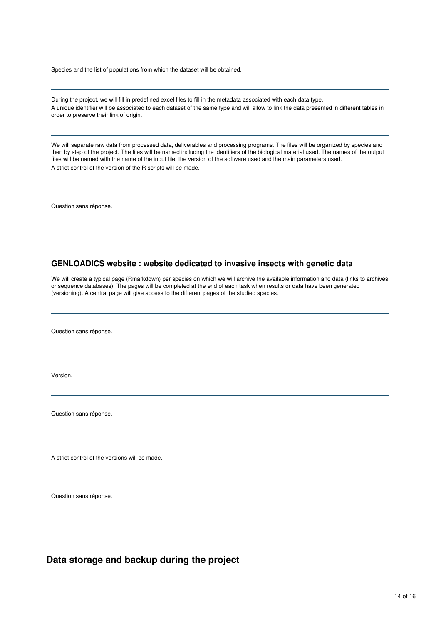Species and the list of populations from which the dataset will be obtained.

During the project, we will fill in predefined excel files to fill in the metadata associated with each data type. A unique identifier will be associated to each dataset of the same type and will allow to link the data presented in different tables in order to preserve their link of origin.

We will separate raw data from processed data, deliverables and processing programs. The files will be organized by species and then by step of the project. The files will be named including the identifiers of the biological material used. The names of the output files will be named with the name of the input file, the version of the software used and the main parameters used. A strict control of the version of the R scripts will be made.

Question sans réponse.

#### **GENLOADICS website : website dedicated to invasive insects with genetic data**

We will create a typical page (Rmarkdown) per species on which we will archive the available information and data (links to archives or sequence databases). The pages will be completed at the end of each task when results or data have been generated (versioning). A central page will give access to the different pages of the studied species.

Question sans réponse.

Version.

Question sans réponse.

A strict control of the versions will be made.

Question sans réponse.

**Data storage and backup during the project**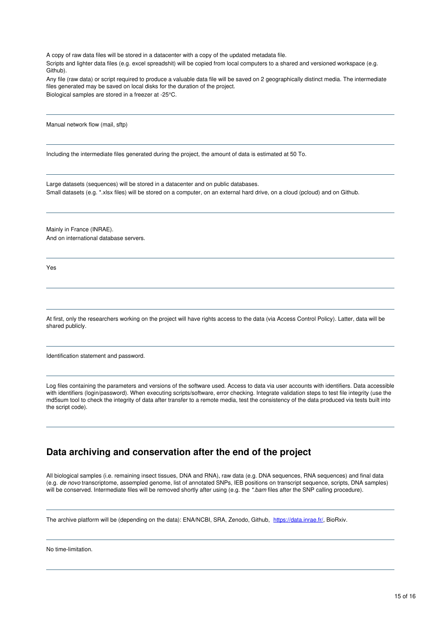A copy of raw data files will be stored in a datacenter with a copy of the updated metadata file.

Scripts and lighter data files (e.g. excel spreadshit) will be copied from local computers to a shared and versioned workspace (e.g. Github).

Any file (raw data) or script required to produce a valuable data file will be saved on 2 geographically distinct media. The intermediate files generated may be saved on local disks for the duration of the project. Biological samples are stored in a freezer at -25°C.

Manual network flow (mail, sftp)

Including the intermediate files generated during the project, the amount of data is estimated at 50 To.

Large datasets (sequences) will be stored in a datacenter and on public databases. Small datasets (e.g. \*.xlsx files) will be stored on a computer, on an external hard drive, on a cloud (pcloud) and on Github.

Mainly in France (INRAE). And on international database servers.

Yes

At first, only the researchers working on the project will have rights access to the data (via Access Control Policy). Latter, data will be shared publicly.

Identification statement and password.

Log files containing the parameters and versions of the software used. Access to data via user accounts with identifiers. Data accessible with identifiers (login/password). When executing scripts/software, error checking. Integrate validation steps to test file integrity (use the md5sum tool to check the integrity of data after transfer to a remote media, test the consistency of the data produced via tests built into the script code).

### **Data archiving and conservation after the end of the project**

All biological samples (i.e. remaining insect tissues, DNA and RNA), raw data (e.g. DNA sequences, RNA sequences) and final data (e.g. *de novo* transcriptome, assempled genome, list of annotated SNPs, IEB positions on transcript sequence, scripts, DNA samples) will be conserved. Intermediate files will be removed shortly after using (e.g. the *\*.bam* files after the SNP calling procedure).

The archive platform will be (depending on the data): ENA/NCBI, SRA, Zenodo, Github, <https://data.inrae.fr/>, BioRxiv.

No time-limitation.